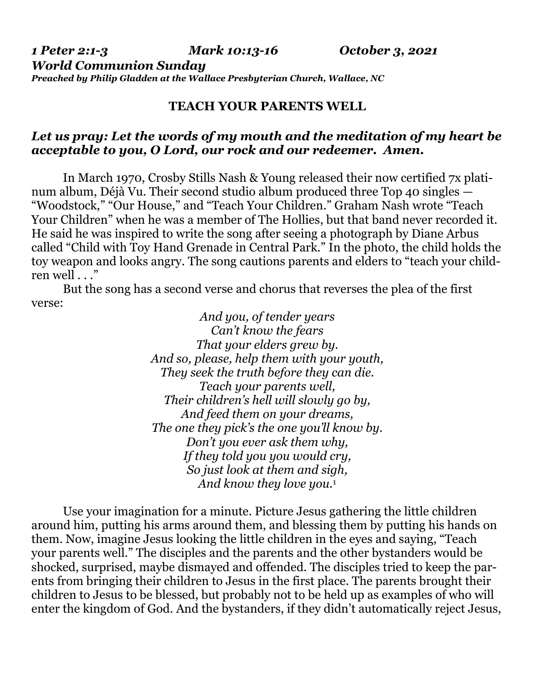*1 Peter 2:1-3 Mark 10:13-16 October 3, 2021 World Communion Sunday Preached by Philip Gladden at the Wallace Presbyterian Church, Wallace, NC* 

## **TEACH YOUR PARENTS WELL**

## *Let us pray: Let the words of my mouth and the meditation of my heart be acceptable to you, O Lord, our rock and our redeemer. Amen.*

In March 1970, Crosby Stills Nash & Young released their now certified 7x platinum album, Déjà Vu. Their second studio album produced three Top 40 singles — "Woodstock," "Our House," and "Teach Your Children." Graham Nash wrote "Teach Your Children" when he was a member of The Hollies, but that band never recorded it. He said he was inspired to write the song after seeing a photograph by Diane Arbus called "Child with Toy Hand Grenade in Central Park." In the photo, the child holds the toy weapon and looks angry. The song cautions parents and elders to "teach your children well . . ."

 But the song has a second verse and chorus that reverses the plea of the first verse:

> *And you, of tender years Can't know the fears That your elders grew by. And so, please, help them with your youth, They seek the truth before they can die. Teach your parents well, Their children's hell will slowly go by, And feed them on your dreams, The one they pick's the one you'll know by. Don't you ever ask them why, If they told you you would cry, So just look at them and sigh, And know they love you.*<sup>1</sup>

Use your imagination for a minute. Picture Jesus gathering the little children around him, putting his arms around them, and blessing them by putting his hands on them. Now, imagine Jesus looking the little children in the eyes and saying, "Teach your parents well." The disciples and the parents and the other bystanders would be shocked, surprised, maybe dismayed and offended. The disciples tried to keep the parents from bringing their children to Jesus in the first place. The parents brought their children to Jesus to be blessed, but probably not to be held up as examples of who will enter the kingdom of God. And the bystanders, if they didn't automatically reject Jesus,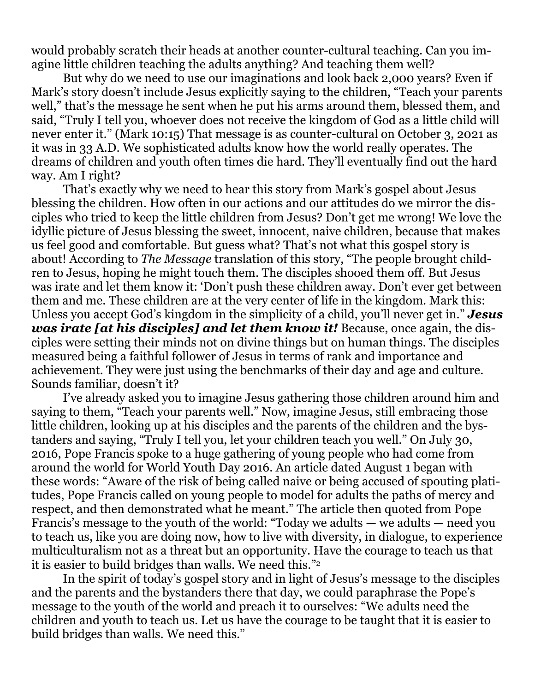would probably scratch their heads at another counter-cultural teaching. Can you imagine little children teaching the adults anything? And teaching them well?

 But why do we need to use our imaginations and look back 2,000 years? Even if Mark's story doesn't include Jesus explicitly saying to the children, "Teach your parents well," that's the message he sent when he put his arms around them, blessed them, and said, "Truly I tell you, whoever does not receive the kingdom of God as a little child will never enter it." (Mark 10:15) That message is as counter-cultural on October 3, 2021 as it was in 33 A.D. We sophisticated adults know how the world really operates. The dreams of children and youth often times die hard. They'll eventually find out the hard way. Am I right?

 That's exactly why we need to hear this story from Mark's gospel about Jesus blessing the children. How often in our actions and our attitudes do we mirror the disciples who tried to keep the little children from Jesus? Don't get me wrong! We love the idyllic picture of Jesus blessing the sweet, innocent, naive children, because that makes us feel good and comfortable. But guess what? That's not what this gospel story is about! According to *The Message* translation of this story, "The people brought children to Jesus, hoping he might touch them. The disciples shooed them off. But Jesus was irate and let them know it: 'Don't push these children away. Don't ever get between them and me. These children are at the very center of life in the kingdom. Mark this: Unless you accept God's kingdom in the simplicity of a child, you'll never get in." *Jesus was irate [at his disciples] and let them know it! Because, once again, the dis*ciples were setting their minds not on divine things but on human things. The disciples measured being a faithful follower of Jesus in terms of rank and importance and achievement. They were just using the benchmarks of their day and age and culture. Sounds familiar, doesn't it?

 I've already asked you to imagine Jesus gathering those children around him and saying to them, "Teach your parents well." Now, imagine Jesus, still embracing those little children, looking up at his disciples and the parents of the children and the bystanders and saying, "Truly I tell you, let your children teach you well." On July 30, 2016, Pope Francis spoke to a huge gathering of young people who had come from around the world for World Youth Day 2016. An article dated August 1 began with these words: "Aware of the risk of being called naive or being accused of spouting platitudes, Pope Francis called on young people to model for adults the paths of mercy and respect, and then demonstrated what he meant." The article then quoted from Pope Francis's message to the youth of the world: "Today we adults — we adults — need you to teach us, like you are doing now, how to live with diversity, in dialogue, to experience multiculturalism not as a threat but an opportunity. Have the courage to teach us that it is easier to build bridges than walls. We need this."<sup>2</sup>

 In the spirit of today's gospel story and in light of Jesus's message to the disciples and the parents and the bystanders there that day, we could paraphrase the Pope's message to the youth of the world and preach it to ourselves: "We adults need the children and youth to teach us. Let us have the courage to be taught that it is easier to build bridges than walls. We need this."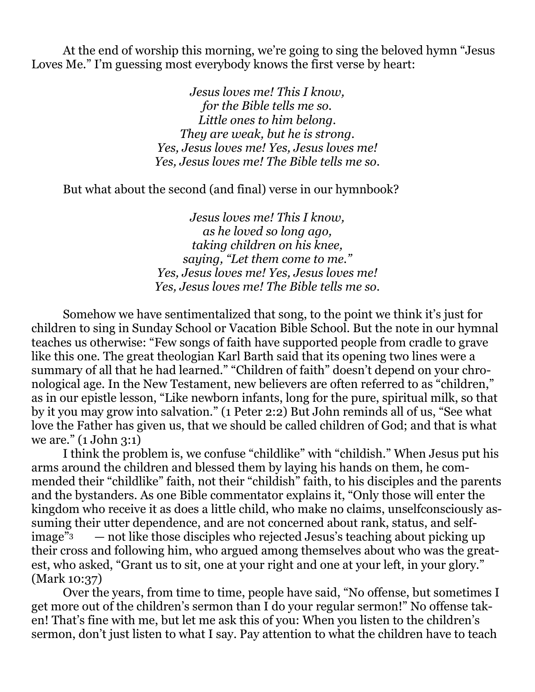At the end of worship this morning, we're going to sing the beloved hymn "Jesus Loves Me." I'm guessing most everybody knows the first verse by heart:

> *Jesus loves me! This I know, for the Bible tells me so. Little ones to him belong. They are weak, but he is strong. Yes, Jesus loves me! Yes, Jesus loves me! Yes, Jesus loves me! The Bible tells me so.*

But what about the second (and final) verse in our hymnbook?

*Jesus loves me! This I know, as he loved so long ago, taking children on his knee, saying, "Let them come to me." Yes, Jesus loves me! Yes, Jesus loves me! Yes, Jesus loves me! The Bible tells me so.* 

 Somehow we have sentimentalized that song, to the point we think it's just for children to sing in Sunday School or Vacation Bible School. But the note in our hymnal teaches us otherwise: "Few songs of faith have supported people from cradle to grave like this one. The great theologian Karl Barth said that its opening two lines were a summary of all that he had learned." "Children of faith" doesn't depend on your chronological age. In the New Testament, new believers are often referred to as "children," as in our epistle lesson, "Like newborn infants, long for the pure, spiritual milk, so that by it you may grow into salvation." (1 Peter 2:2) But John reminds all of us, "See what love the Father has given us, that we should be called children of God; and that is what we are." (1 John 3:1)

 I think the problem is, we confuse "childlike" with "childish." When Jesus put his arms around the children and blessed them by laying his hands on them, he commended their "childlike" faith, not their "childish" faith, to his disciples and the parents and the bystanders. As one Bible commentator explains it, "Only those will enter the kingdom who receive it as does a little child, who make no claims, unselfconsciously assuming their utter dependence, and are not concerned about rank, status, and selfimage"3 — not like those disciples who rejected Jesus's teaching about picking up their cross and following him, who argued among themselves about who was the greatest, who asked, "Grant us to sit, one at your right and one at your left, in your glory." (Mark 10:37)

 Over the years, from time to time, people have said, "No offense, but sometimes I get more out of the children's sermon than I do your regular sermon!" No offense taken! That's fine with me, but let me ask this of you: When you listen to the children's sermon, don't just listen to what I say. Pay attention to what the children have to teach